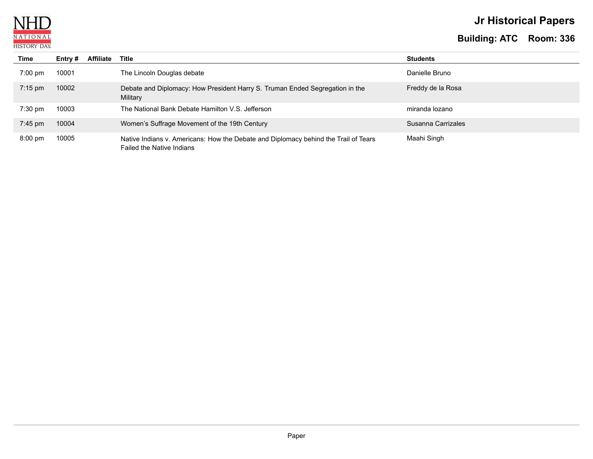

# **Jr Historical Papers**

| Time              | Entry $#$ | <b>Affiliate</b> | Title                                                                                                            | <b>Students</b>    |
|-------------------|-----------|------------------|------------------------------------------------------------------------------------------------------------------|--------------------|
| $7:00 \text{ pm}$ | 10001     |                  | The Lincoln Douglas debate                                                                                       | Danielle Bruno     |
| $7:15$ pm         | 10002     |                  | Debate and Diplomacy: How President Harry S. Truman Ended Segregation in the<br>Military                         | Freddy de la Rosa  |
| $7:30$ pm         | 10003     |                  | The National Bank Debate Hamilton V.S. Jefferson                                                                 | miranda lozano     |
| $7:45$ pm         | 10004     |                  | Women's Suffrage Movement of the 19th Century                                                                    | Susanna Carrizales |
| $8:00 \text{ pm}$ | 10005     |                  | Native Indians v. Americans: How the Debate and Diplomacy behind the Trail of Tears<br>Failed the Native Indians | Maahi Singh        |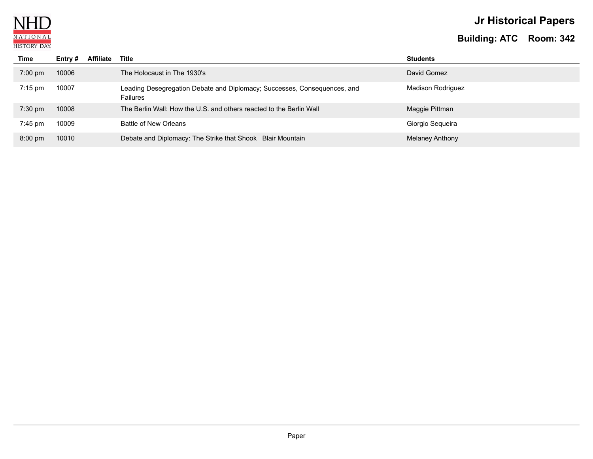

# **Jr Historical Papers**

| Time              | Entry # | <b>Affiliate</b> | Title                                                                                       | <b>Students</b>          |
|-------------------|---------|------------------|---------------------------------------------------------------------------------------------|--------------------------|
| $7:00$ pm         | 10006   |                  | The Holocaust in The 1930's                                                                 | David Gomez              |
| $7:15 \text{ pm}$ | 10007   |                  | Leading Desegregation Debate and Diplomacy; Successes, Consequences, and<br><b>Failures</b> | <b>Madison Rodriguez</b> |
| $7:30$ pm         | 10008   |                  | The Berlin Wall: How the U.S. and others reacted to the Berlin Wall                         | Maggie Pittman           |
| 7:45 pm           | 10009   |                  | Battle of New Orleans                                                                       | Giorgio Sequeira         |
| $8:00 \text{ pm}$ | 10010   |                  | Debate and Diplomacy: The Strike that Shook Blair Mountain                                  | Melaney Anthony          |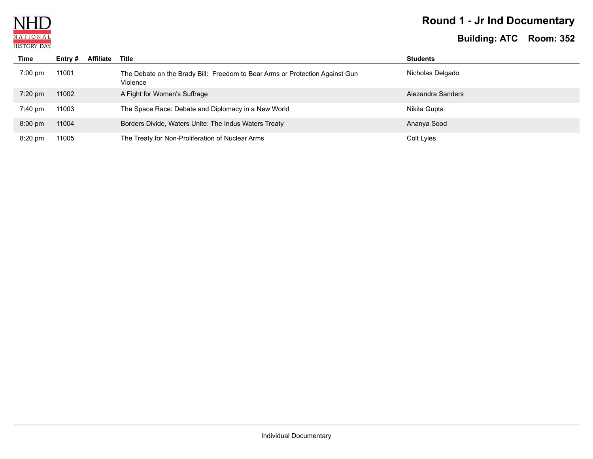

# **Round 1 - Jr Ind Documentary**

| Time              | Entry # | <b>Affiliate</b> | Title                                                                                    | <b>Students</b>   |
|-------------------|---------|------------------|------------------------------------------------------------------------------------------|-------------------|
| $7:00 \text{ pm}$ | 11001   |                  | The Debate on the Brady Bill: Freedom to Bear Arms or Protection Against Gun<br>Violence | Nicholas Delgado  |
| $7:20$ pm         | 11002   |                  | A Fight for Women's Suffrage                                                             | Alezandra Sanders |
| $7:40 \text{ pm}$ | 11003   |                  | The Space Race: Debate and Diplomacy in a New World                                      | Nikita Gupta      |
| $8:00$ pm         | 11004   |                  | Borders Divide, Waters Unite: The Indus Waters Treaty                                    | Ananya Sood       |
| $8:20 \text{ pm}$ | 11005   |                  | The Treaty for Non-Proliferation of Nuclear Arms                                         | Colt Lyles        |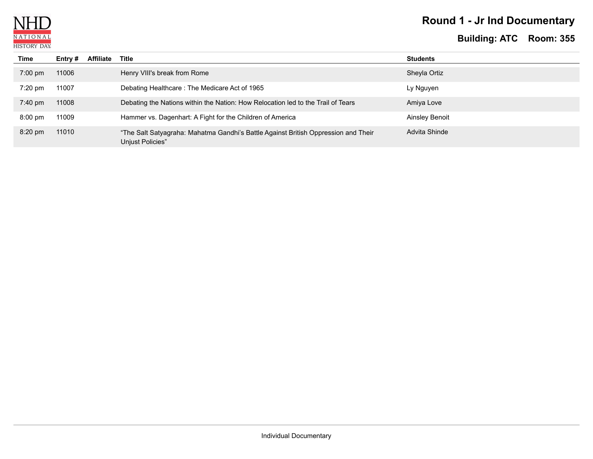

# **Round 1 - Jr Ind Documentary**

| Time              | Entry $#$ | <b>Affiliate</b> | Title                                                                                                  | <b>Students</b>       |
|-------------------|-----------|------------------|--------------------------------------------------------------------------------------------------------|-----------------------|
| $7:00 \text{ pm}$ | 11006     |                  | Henry VIII's break from Rome                                                                           | Sheyla Ortiz          |
| $7:20$ pm         | 11007     |                  | Debating Healthcare: The Medicare Act of 1965                                                          | Ly Nguyen             |
| $7:40 \text{ pm}$ | 11008     |                  | Debating the Nations within the Nation: How Relocation led to the Trail of Tears                       | Amiya Love            |
| $8:00$ pm         | 11009     |                  | Hammer vs. Dagenhart: A Fight for the Children of America                                              | <b>Ainsley Benoit</b> |
| $8:20 \text{ pm}$ | 11010     |                  | "The Salt Satyagraha: Mahatma Gandhi's Battle Against British Oppression and Their<br>Unjust Policies" | Advita Shinde         |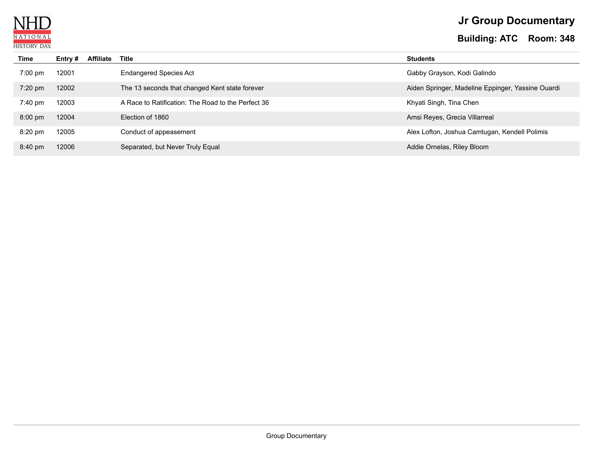

# **Jr Group Documentary**

| Time              | Entry # | <b>Affiliate</b> | Title                                              | <b>Students</b>                                   |
|-------------------|---------|------------------|----------------------------------------------------|---------------------------------------------------|
| $7:00$ pm         | 12001   |                  | <b>Endangered Species Act</b>                      | Gabby Grayson, Kodi Galindo                       |
| $7:20$ pm         | 12002   |                  | The 13 seconds that changed Kent state forever     | Aiden Springer, Madeline Eppinger, Yassine Ouardi |
| $7:40 \text{ pm}$ | 12003   |                  | A Race to Ratification: The Road to the Perfect 36 | Khyati Singh, Tina Chen                           |
| $8:00$ pm         | 12004   |                  | Election of 1860                                   | Amsi Reyes, Grecia Villarreal                     |
| $8:20$ pm         | 12005   |                  | Conduct of appeasement                             | Alex Lofton, Joshua Camtugan, Kendell Polimis     |
| 8:40 pm           | 12006   |                  | Separated, but Never Truly Equal                   | Addie Ornelas, Riley Bloom                        |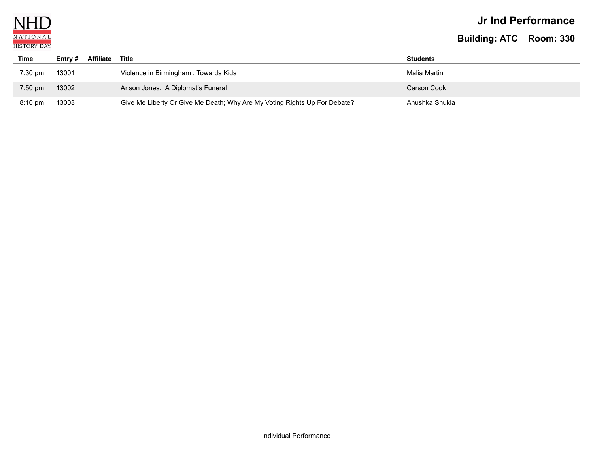

### **Jr Ind Performance**

| Time              | Affiliate<br>Entry $#$ | Title                                                                     | <b>Students</b> |
|-------------------|------------------------|---------------------------------------------------------------------------|-----------------|
| $7:30$ pm         | 13001                  | Violence in Birmingham, Towards Kids                                      | Malia Martin    |
| $7:50$ pm         | 13002                  | Anson Jones: A Diplomat's Funeral                                         | Carson Cook     |
| $8:10 \text{ pm}$ | 13003                  | Give Me Liberty Or Give Me Death; Why Are My Voting Rights Up For Debate? | Anushka Shukla  |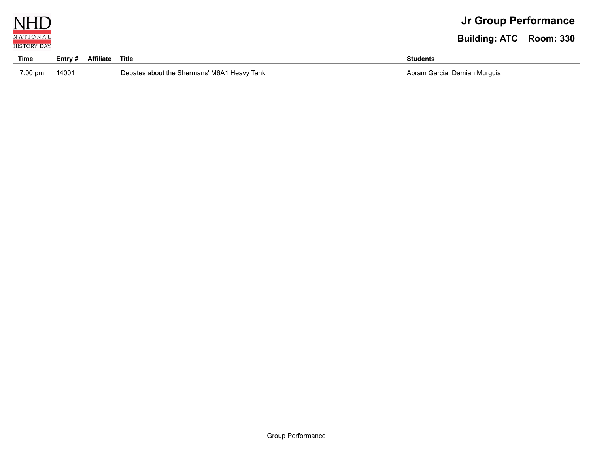

| Time    | Entry # | <b>Affiliate</b> | Title                          | Students                     |
|---------|---------|------------------|--------------------------------|------------------------------|
| 7:00 pm | 14001   |                  | ' M6A1 Heavy Tank<br>Shermans' | Abram Garcia, Damian Murquia |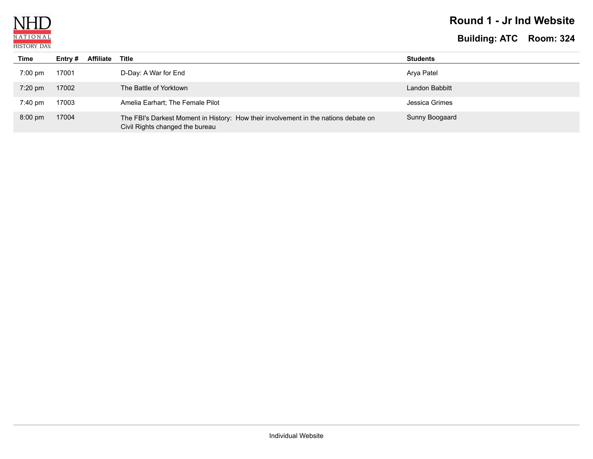

### **Round 1 - Jr Ind Website**

| Time              | Entry # | <b>Affiliate</b> | Title                                                                                                                  | <b>Students</b> |
|-------------------|---------|------------------|------------------------------------------------------------------------------------------------------------------------|-----------------|
| $7:00$ pm         | 17001   |                  | D-Day: A War for End                                                                                                   | Arya Patel      |
| $7:20$ pm         | 17002   |                  | The Battle of Yorktown                                                                                                 | Landon Babbitt  |
| 7:40 pm           | 17003   |                  | Amelia Earhart; The Female Pilot                                                                                       | Jessica Grimes  |
| $8:00 \text{ pm}$ | 17004   |                  | The FBI's Darkest Moment in History: How their involvement in the nations debate on<br>Civil Rights changed the bureau | Sunny Boogaard  |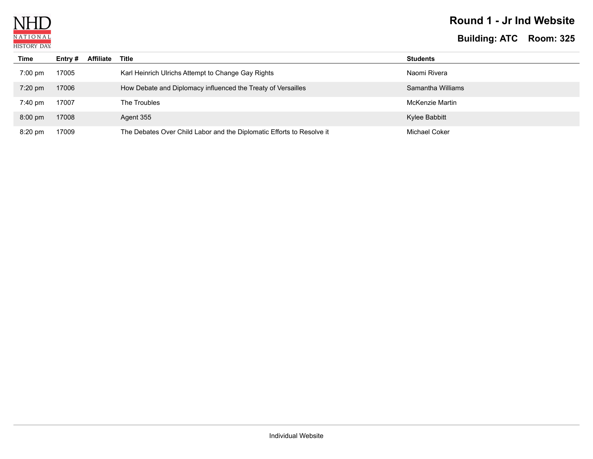

### **Round 1 - Jr Ind Website**

| <b>Time</b>       | Entry # | <b>Affiliate</b> | Title                                                                 | <b>Students</b>      |
|-------------------|---------|------------------|-----------------------------------------------------------------------|----------------------|
| $7:00$ pm         | 17005   |                  | Karl Heinrich Ulrichs Attempt to Change Gay Rights                    | Naomi Rivera         |
| $7:20$ pm         | 17006   |                  | How Debate and Diplomacy influenced the Treaty of Versailles          | Samantha Williams    |
| $7:40 \text{ pm}$ | 17007   |                  | The Troubles                                                          | McKenzie Martin      |
| $8:00 \text{ pm}$ | 17008   |                  | Agent 355                                                             | Kylee Babbitt        |
| $8:20 \text{ pm}$ | 17009   |                  | The Debates Over Child Labor and the Diplomatic Efforts to Resolve it | <b>Michael Coker</b> |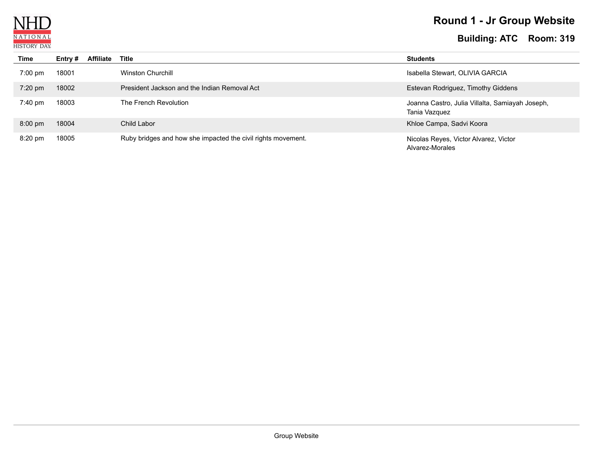

# **Round 1 - Jr Group Website**

| Time              | Entry # | <b>Affiliate</b> | Title                                                        | <b>Students</b>                                                  |
|-------------------|---------|------------------|--------------------------------------------------------------|------------------------------------------------------------------|
| $7:00 \text{ pm}$ | 18001   |                  | <b>Winston Churchill</b>                                     | Isabella Stewart, OLIVIA GARCIA                                  |
| 7:20 pm           | 18002   |                  | President Jackson and the Indian Removal Act                 | Estevan Rodriguez, Timothy Giddens                               |
| $7:40 \text{ pm}$ | 18003   |                  | The French Revolution                                        | Joanna Castro, Julia Villalta, Samiayah Joseph,<br>Tania Vazquez |
| $8:00 \text{ pm}$ | 18004   |                  | Child Labor                                                  | Khloe Campa, Sadvi Koora                                         |
| $8:20$ pm         | 18005   |                  | Ruby bridges and how she impacted the civil rights movement. | Nicolas Reyes, Victor Alvarez, Victor<br>Alvarez-Morales         |